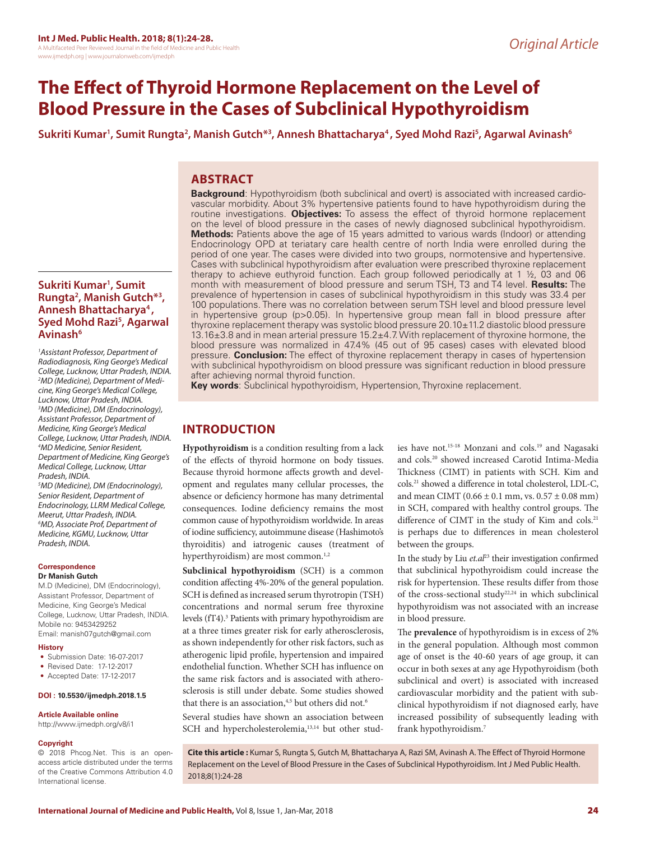# **The Effect of Thyroid Hormone Replacement on the Level of Blood Pressure in the Cases of Subclinical Hypothyroidism**

Sukriti Kumar<sup>1</sup>, Sumit Rungta<sup>2</sup>, Manish Gutch\*<sup>3</sup>, Annesh Bhattacharya<sup>4</sup>, Syed Mohd Razi<sup>5</sup>, Agarwal Avinash<sup>6</sup>

# **ABSTRACT**

**Sukriti Kumar1 , Sumit Rungta2 , Manish Gutch\*3 , Annesh Bhattacharya4 , Syed Mohd Razi5 , Agarwal Avinash6**

*1 Assistant Professor, Department of Radiodiagnosis, King George's Medical College, Lucknow, Uttar Pradesh, INDIA. 2 MD (Medicine), Department of Medicine, King George's Medical College, Lucknow, Uttar Pradesh, INDIA. 3 MD (Medicine), DM (Endocrinology), Assistant Professor, Department of Medicine, King George's Medical College, Lucknow, Uttar Pradesh, INDIA. 4 MD Medicine, Senior Resident, Department of Medicine, King George's Medical College, Lucknow, Uttar Pradesh, INDIA.*

*5 MD (Medicine), DM (Endocrinology), Senior Resident, Department of Endocrinology, LLRM Medical College, Meerut, Uttar Pradesh, INDIA. 6 MD, Associate Prof, Department of Medicine, KGMU, Lucknow, Uttar Pradesh, INDIA.* 

#### **Correspondence Dr Manish Gutch**

M.D (Medicine), DM (Endocrinology), Assistant Professor, Department of Medicine, King George's Medical College, Lucknow, Uttar Pradesh, INDIA. Mobile no: 9453429252 Email: manish07gutch@gmail.com

#### **History**

- Submission Date: 16-07-2017
- Revised Date: 17-12-2017
- Accepted Date: 17-12-2017

# **DOI : 10.5530/ijmedph.2018.1.5**

#### **Article Available online**

http://www.ijmedph.org/v8/i1

#### **Copyright**

© 2018 Phcog.Net. This is an openaccess article distributed under the terms of the Creative Commons Attribution 4.0 International license.

**Background**: Hypothyroidism (both subclinical and overt) is associated with increased cardiovascular morbidity. About 3% hypertensive patients found to have hypothyroidism during the routine investigations. **Objectives:** To assess the effect of thyroid hormone replacement on the level of blood pressure in the cases of newly diagnosed subclinical hypothyroidism. **Methods:** Patients above the age of 15 years admitted to various wards (Indoor) or attending Endocrinology OPD at teriatary care health centre of north India were enrolled during the period of one year. The cases were divided into two groups, normotensive and hypertensive. Cases with subclinical hypothyroidism after evaluation were prescribed thyroxine replacement therapy to achieve euthyroid function. Each group followed periodically at 1 ½, 03 and 06 month with measurement of blood pressure and serum TSH, T3 and T4 level. **Results:** The prevalence of hypertension in cases of subclinical hypothyroidism in this study was 33.4 per 100 populations. There was no correlation between serum TSH level and blood pressure level in hypertensive group (p>0.05). In hypertensive group mean fall in blood pressure after thyroxine replacement therapy was systolic blood pressure  $20.10\pm11.2$  diastolic blood pressure 13.16±3.8 and in mean arterial pressure 15.2±4.7. With replacement of thyroxine hormone, the blood pressure was normalized in 47.4% (45 out of 95 cases) cases with elevated blood pressure. **Conclusion:** The effect of thyroxine replacement therapy in cases of hypertension with subclinical hypothyroidism on blood pressure was significant reduction in blood pressure after achieving normal thyroid function.

**Key words**: Subclinical hypothyroidism, Hypertension, Thyroxine replacement.

# **INTRODUCTION**

**Hypothyroidism** is a condition resulting from a lack of the effects of thyroid hormone on body tissues. Because thyroid hormone affects growth and development and regulates many cellular processes, the absence or deficiency hormone has many detrimental consequences. Iodine deficiency remains the most common cause of hypothyroidism worldwide. In areas of iodine sufficiency, autoimmune disease (Hashimoto's thyroiditis) and iatrogenic causes (treatment of hyperthyroidism) are most common.<sup>1,2</sup>

**Subclinical hypothyroidism** (SCH) is a common condition affecting 4%-20% of the general population. SCH is defined as increased serum thyrotropin (TSH) concentrations and normal serum free thyroxine levels (fT4).<sup>3</sup> Patients with primary hypothyroidism are at a three times greater risk for early atherosclerosis, as shown independently for other risk factors, such as atherogenic lipid profile, hypertension and impaired endothelial function. Whether SCH has influence on the same risk factors and is associated with atherosclerosis is still under debate. Some studies showed that there is an association,<sup>4,5</sup> but others did not.<sup>6</sup>

Several studies have shown an association between SCH and hypercholesterolemia,<sup>13,14</sup> but other studies have not.15-18 Monzani and cols.19 and Nagasaki and cols.20 showed increased Carotid Intima-Media Thickness (CIMT) in patients with SCH. Kim and cols.21 showed a difference in total cholesterol, LDL-C, and mean CIMT ( $0.66 \pm 0.1$  mm, vs.  $0.57 \pm 0.08$  mm) in SCH, compared with healthy control groups. The difference of CIMT in the study of Kim and cols.<sup>21</sup> is perhaps due to differences in mean cholesterol between the groups.

In the study by Liu *et.al*<sup>23</sup> their investigation confirmed that subclinical hypothyroidism could increase the risk for hypertension. These results differ from those of the cross-sectional study22,24 in which subclinical hypothyroidism was not associated with an increase in blood pressure.

The **prevalence** of hypothyroidism is in excess of 2% in the general population. Although most common age of onset is the 40-60 years of age group, it can occur in both sexes at any age Hypothyroidism (both subclinical and overt) is associated with increased cardiovascular morbidity and the patient with subclinical hypothyroidism if not diagnosed early, have increased possibility of subsequently leading with frank hypothyroidism.7

**Cite this article :** Kumar S, Rungta S, Gutch M, Bhattacharya A, Razi SM, Avinash A. The Effect of Thyroid Hormone Replacement on the Level of Blood Pressure in the Cases of Subclinical Hypothyroidism. Int J Med Public Health. 2018;8(1):24-28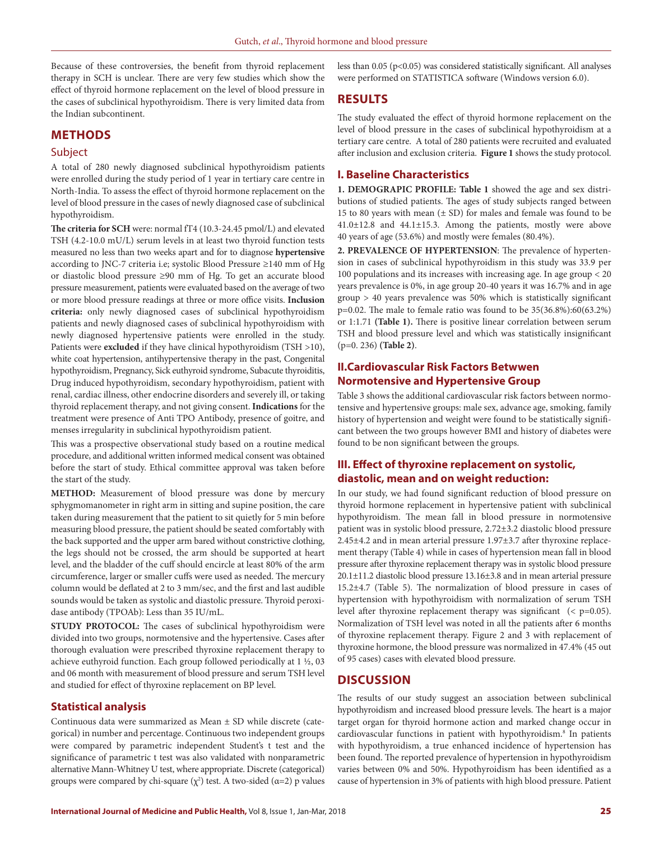Because of these controversies, the benefit from thyroid replacement therapy in SCH is unclear. There are very few studies which show the effect of thyroid hormone replacement on the level of blood pressure in the cases of subclinical hypothyroidism. There is very limited data from the Indian subcontinent.

# **METHODS**

### Subject

A total of 280 newly diagnosed subclinical hypothyroidism patients were enrolled during the study period of 1 year in tertiary care centre in North-India. To assess the effect of thyroid hormone replacement on the level of blood pressure in the cases of newly diagnosed case of subclinical hypothyroidism.

**The criteria for SCH** were: normal fT4 (10.3-24.45 pmol/L) and elevated TSH (4.2-10.0 mU/L) serum levels in at least two thyroid function tests measured no less than two weeks apart and for to diagnose **hypertensive** according to JNC-7 criteria i.e; systolic Blood Pressure ≥140 mm of Hg or diastolic blood pressure ≥90 mm of Hg. To get an accurate blood pressure measurement, patients were evaluated based on the average of two or more blood pressure readings at three or more office visits. **Inclusion criteria:** only newly diagnosed cases of subclinical hypothyroidism patients and newly diagnosed cases of subclinical hypothyroidism with newly diagnosed hypertensive patients were enrolled in the study. Patients were **excluded** if they have clinical hypothyroidism (TSH >10), white coat hypertension, antihypertensive therapy in the past, Congenital hypothyroidism, Pregnancy, Sick euthyroid syndrome, Subacute thyroiditis, Drug induced hypothyroidism, secondary hypothyroidism, patient with renal, cardiac illness, other endocrine disorders and severely ill, or taking thyroid replacement therapy, and not giving consent. **Indications** for the treatment were presence of Anti TPO Antibody, presence of goitre, and menses irregularity in subclinical hypothyroidism patient.

This was a prospective observational study based on a routine medical procedure, and additional written informed medical consent was obtained before the start of study. Ethical committee approval was taken before the start of the study.

**METHOD:** Measurement of blood pressure was done by mercury sphygmomanometer in right arm in sitting and supine position, the care taken during measurement that the patient to sit quietly for 5 min before measuring blood pressure, the patient should be seated comfortably with the back supported and the upper arm bared without constrictive clothing, the legs should not be crossed, the arm should be supported at heart level, and the bladder of the cuff should encircle at least 80% of the arm circumference, larger or smaller cuffs were used as needed. The mercury column would be deflated at 2 to 3 mm/sec, and the first and last audible sounds would be taken as systolic and diastolic pressure. Thyroid peroxidase antibody (TPOAb): Less than 35 IU/mL.

**STUDY PROTOCOL:** The cases of subclinical hypothyroidism were divided into two groups, normotensive and the hypertensive. Cases after thorough evaluation were prescribed thyroxine replacement therapy to achieve euthyroid function. Each group followed periodically at 1 ½, 03 and 06 month with measurement of blood pressure and serum TSH level and studied for effect of thyroxine replacement on BP level.

# **Statistical analysis**

Continuous data were summarized as Mean ± SD while discrete (categorical) in number and percentage. Continuous two independent groups were compared by parametric independent Student's t test and the significance of parametric t test was also validated with nonparametric alternative Mann-Whitney U test, where appropriate. Discrete (categorical) groups were compared by chi-square  $(\chi^2)$  test. A two-sided ( $\alpha=2$ ) p values less than 0.05 (p<0.05) was considered statistically significant. All analyses were performed on STATISTICA software (Windows version 6.0).

# **RESULTS**

The study evaluated the effect of thyroid hormone replacement on the level of blood pressure in the cases of subclinical hypothyroidism at a tertiary care centre. A total of 280 patients were recruited and evaluated after inclusion and exclusion criteria. **Figure 1** shows the study protocol.

# **I. Baseline Characteristics**

**1. DEMOGRAPIC PROFILE: Table 1** showed the age and sex distributions of studied patients. The ages of study subjects ranged between 15 to 80 years with mean  $(\pm SD)$  for males and female was found to be 41.0±12.8 and 44.1±15.3. Among the patients, mostly were above 40 years of age (53.6%) and mostly were females (80.4%).

**2. PREVALENCE OF HYPERTENSION**: The prevalence of hypertension in cases of subclinical hypothyroidism in this study was 33.9 per 100 populations and its increases with increasing age. In age group < 20 years prevalence is 0%, in age group 20-40 years it was 16.7% and in age group > 40 years prevalence was 50% which is statistically significant p=0.02. The male to female ratio was found to be 35(36.8%):60(63.2%) or 1:1.71 **(Table 1).** There is positive linear correlation between serum TSH and blood pressure level and which was statistically insignificant (p=0. 236) **(Table 2)**.

# **II.Cardiovascular Risk Factors Betwwen Normotensive and Hypertensive Group**

Table 3 shows the additional cardiovascular risk factors between normotensive and hypertensive groups: male sex, advance age, smoking, family history of hypertension and weight were found to be statistically significant between the two groups however BMI and history of diabetes were found to be non significant between the groups.

# **III. Effect of thyroxine replacement on systolic, diastolic, mean and on weight reduction:**

In our study, we had found significant reduction of blood pressure on thyroid hormone replacement in hypertensive patient with subclinical hypothyroidism. The mean fall in blood pressure in normotensive patient was in systolic blood pressure, 2.72±3.2 diastolic blood pressure 2.45±4.2 and in mean arterial pressure 1.97±3.7 after thyroxine replacement therapy (Table 4) while in cases of hypertension mean fall in blood pressure after thyroxine replacement therapy was in systolic blood pressure 20.1±11.2 diastolic blood pressure 13.16±3.8 and in mean arterial pressure 15.2±4.7 (Table 5). The normalization of blood pressure in cases of hypertension with hypothyroidism with normalization of serum TSH level after thyroxine replacement therapy was significant  $( $p=0.05$ ).$ Normalization of TSH level was noted in all the patients after 6 months of thyroxine replacement therapy. Figure 2 and 3 with replacement of thyroxine hormone, the blood pressure was normalized in 47.4% (45 out of 95 cases) cases with elevated blood pressure.

# **DISCUSSION**

The results of our study suggest an association between subclinical hypothyroidism and increased blood pressure levels. The heart is a major target organ for thyroid hormone action and marked change occur in cardiovascular functions in patient with hypothyroidism.8 In patients with hypothyroidism, a true enhanced incidence of hypertension has been found. The reported prevalence of hypertension in hypothyroidism varies between 0% and 50%. Hypothyroidism has been identified as a cause of hypertension in 3% of patients with high blood pressure. Patient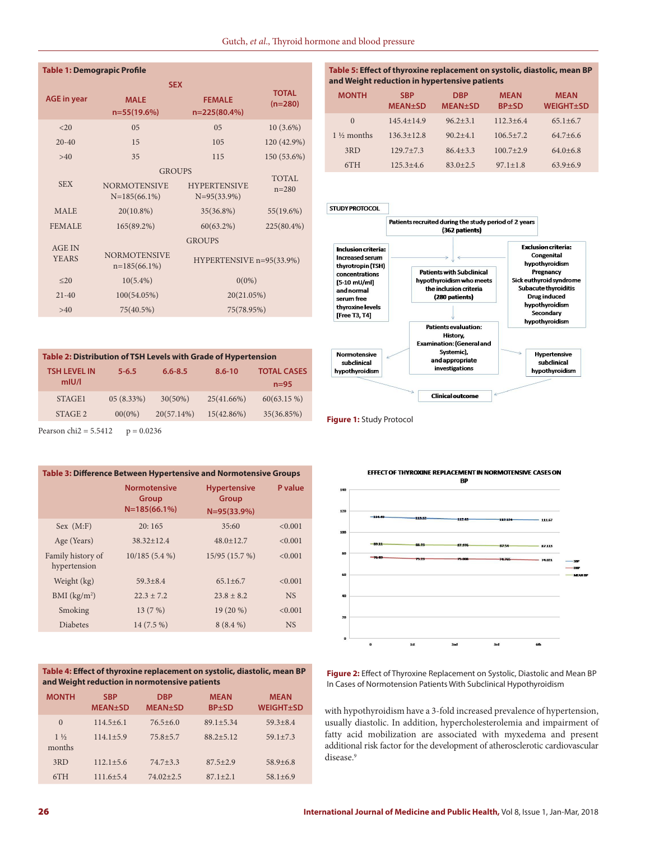#### **Table 1: Demograpic Profile**

|                                                                         | <b>SEX</b>                                              |                                           |                           |  |
|-------------------------------------------------------------------------|---------------------------------------------------------|-------------------------------------------|---------------------------|--|
| <b>AGE</b> in year                                                      | <b>MALE</b><br>$n=55(19.6%)$                            | <b>FEMALE</b><br>$n=225(80.4%)$           | <b>TOTAL</b><br>$(n=280)$ |  |
| <20                                                                     | 05                                                      | 0 <sub>5</sub>                            | $10(3.6\%)$               |  |
| $20 - 40$                                                               | 15                                                      | 105                                       | 120 (42.9%)               |  |
| 35<br>>40                                                               |                                                         | 115                                       | 150 (53.6%)               |  |
| <b>SEX</b>                                                              | <b>GROUPS</b><br><b>NORMOTENSIVE</b><br>$N=185(66.1\%)$ | <b>HYPERTENSIVE</b><br>$N=95(33.9%)$      | <b>TOTAL</b><br>$n = 280$ |  |
| <b>MALE</b>                                                             | $20(10.8\%)$                                            | 35(36.8%)                                 | 55(19.6%)                 |  |
| <b>FEMALE</b>                                                           | 165(89.2%)                                              | 60(63.2%)                                 | 225(80.4%)                |  |
| <b>AGE IN</b><br><b>NORMOTENSIVE</b><br><b>YEARS</b><br>$n=185(66.1\%)$ |                                                         | <b>GROUPS</b><br>HYPERTENSIVE n=95(33.9%) |                           |  |
| $20$                                                                    | $10(5.4\%)$                                             | $0(0\%)$                                  |                           |  |
| $21 - 40$                                                               | 100(54.05%)                                             | 20(21.05%)                                |                           |  |
| 75(40.5%)<br>>40                                                        |                                                         | 75(78.95%)                                |                           |  |

# **Table 2: Distribution of TSH Levels with Grade of Hypertension**

| <b>TSH LEVEL IN</b><br>mIU/I | $5 - 6.5$ | $6.6 - 8.5$ | $8.6 - 10$ | <b>TOTAL CASES</b><br>$n=95$ |
|------------------------------|-----------|-------------|------------|------------------------------|
| STAGE <sub>1</sub>           | 05(8.33%) | $30(50\%)$  | 25(41.66%) | $60(63.15\%)$                |
| STAGE 2                      | $00(0\%)$ | 20(57.14%)  | 15(42.86%) | 35(36.85%)                   |
|                              |           |             |            |                              |

Pearson chi2 =  $5.5412$  p = 0.0236

### **Table 3: Difference Between Hypertensive and Normotensive Groups**

|                                   | <b>Normotensive</b><br>Group<br>$N=185(66.1%)$ | <b>Hypertensive</b><br>Group<br>$N = 95(33.9%)$ | P value   |
|-----------------------------------|------------------------------------------------|-------------------------------------------------|-----------|
| Sex (M: F)                        | 20:165                                         | 35:60                                           | < 0.001   |
| Age (Years)                       | $38.32 + 12.4$                                 | $48.0 \pm 12.7$                                 | < 0.001   |
| Family history of<br>hypertension | 10/185(5.4%)                                   | 15/95 (15.7 %)                                  | < 0.001   |
| Weight (kg)                       | $59.3 + 8.4$                                   | $65.1 + 6.7$                                    | < 0.001   |
| BMI (kg/m <sup>2</sup> )          | $22.3 + 7.2$                                   | $23.8 + 8.2$                                    | <b>NS</b> |
| Smoking                           | 13(7%)                                         | $19(20\%)$                                      | < 0.001   |
| <b>Diabetes</b>                   | $14(7.5\%)$                                    | $8(8.4\%)$                                      | <b>NS</b> |
|                                   |                                                |                                                 |           |

#### **Table 4: Effect of thyroxine replacement on systolic, diastolic, mean BP and Weight reduction in normotensive patients**

| <b>MONTH</b>             | <b>SBP</b><br><b>MEAN±SD</b> | <b>DBP</b><br><b>MEAN±SD</b> | <b>MEAN</b><br>$BP+SD$ | <b>MEAN</b><br><b>WEIGHT±SD</b> |
|--------------------------|------------------------------|------------------------------|------------------------|---------------------------------|
| $\Omega$                 | $114.5 + 6.1$                | $76.5 + 6.0$                 | $89.1 + 5.34$          | $59.3 + 8.4$                    |
| $1\frac{1}{2}$<br>months | $114.1 + 5.9$                | $75.8 + 5.7$                 | $88.2 + 5.12$          | $59.1 + 7.3$                    |
| 3RD                      | $112.1 + 5.6$                | $74.7 + 3.3$                 | $87.5 + 2.9$           | $58.9 + 6.8$                    |
| 6TH                      | $111.6 + 5.4$                | $74.02 + 2.5$                | $87.1 + 2.1$           | $58.1 + 6.9$                    |
|                          |                              |                              |                        |                                 |

### **Table 5: Effect of thyroxine replacement on systolic, diastolic, mean BP and Weight reduction in hypertensive patients**

| <b>MONTH</b>          | <b>SBP</b><br><b>MEAN±SD</b> | <b>DRP</b><br><b>MEAN±SD</b> | <b>MEAN</b><br><b>BP±SD</b> | <b>MEAN</b><br><b>WEIGHT±SD</b> |
|-----------------------|------------------------------|------------------------------|-----------------------------|---------------------------------|
| $\Omega$              | $145.4 + 14.9$               | $96.2 + 3.1$                 | $112.3 + 6.4$               | $65.1 + 6.7$                    |
| $1\frac{1}{2}$ months | $136.3 \pm 12.8$             | $90.2 + 4.1$                 | $106.5 + 7.2$               | $64.7 + 6.6$                    |
| 3RD                   | $129.7 + 7.3$                | $86.4 + 3.3$                 | $100.7 + 2.9$               | $64.0 + 6.8$                    |
| 6TH                   | $125.3 + 4.6$                | $83.0 + 2.5$                 | $97.1 \pm 1.8$              | $63.9 + 6.9$                    |



**Figure 1:** Study Protocol



**Figure 2:** Effect of Thyroxine Replacement on Systolic, Diastolic and Mean BP In Cases of Normotension Patients With Subclinical Hypothyroidism

with hypothyroidism have a 3-fold increased prevalence of hypertension, usually diastolic. In addition, hypercholesterolemia and impairment of fatty acid mobilization are associated with myxedema and present additional risk factor for the development of atherosclerotic cardiovascular disease.<sup>9</sup>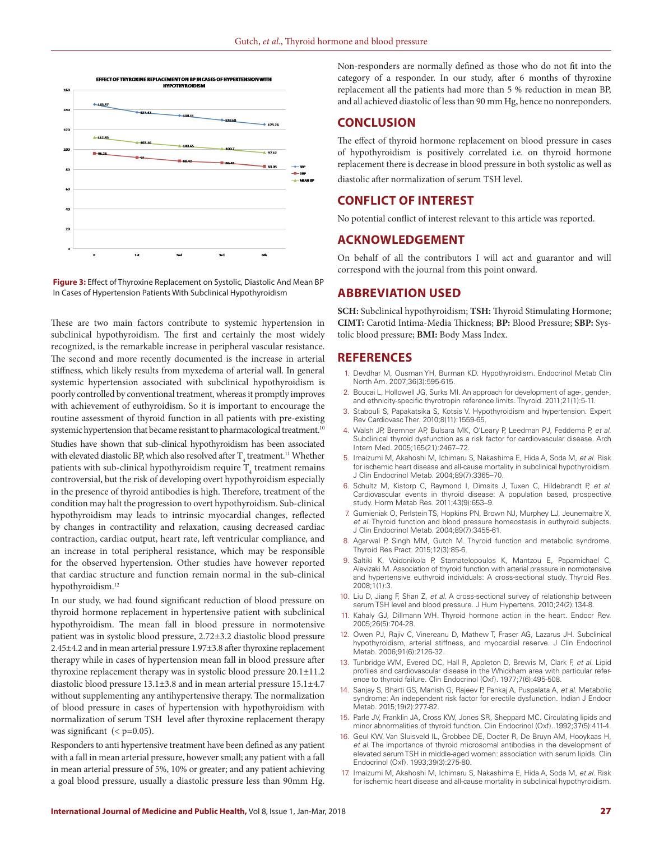



These are two main factors contribute to systemic hypertension in subclinical hypothyroidism. The first and certainly the most widely recognized, is the remarkable increase in peripheral vascular resistance. The second and more recently documented is the increase in arterial stiffness, which likely results from myxedema of arterial wall. In general systemic hypertension associated with subclinical hypothyroidism is poorly controlled by conventional treatment, whereas it promptly improves with achievement of euthyroidism. So it is important to encourage the routine assessment of thyroid function in all patients with pre-existing systemic hypertension that became resistant to pharmacological treatment.<sup>10</sup> Studies have shown that sub-clinical hypothyroidism has been associated with elevated diastolic BP, which also resolved after  $\mathrm{T}_4$  treatment.<sup>11</sup> Whether patients with sub-clinical hypothyroidism require  $\mathrm{T}_4$  treatment remains controversial, but the risk of developing overt hypothyroidism especially in the presence of thyroid antibodies is high. Therefore, treatment of the condition may halt the progression to overt hypothyroidism. Sub-clinical hypothyroidism may leads to intrinsic myocardial changes, reflected by changes in contractility and relaxation, causing decreased cardiac contraction, cardiac output, heart rate, left ventricular compliance, and an increase in total peripheral resistance, which may be responsible for the observed hypertension. Other studies have however reported that cardiac structure and function remain normal in the sub-clinical hypothyroidism. 12

In our study, we had found significant reduction of blood pressure on thyroid hormone replacement in hypertensive patient with subclinical hypothyroidism. The mean fall in blood pressure in normotensive patient was in systolic blood pressure, 2.72±3.2 diastolic blood pressure 2.45±4.2 and in mean arterial pressure 1.97±3.8 after thyroxine replacement therapy while in cases of hypertension mean fall in blood pressure after thyroxine replacement therapy was in systolic blood pressure 20.1±11.2 diastolic blood pressure 13.1±3.8 and in mean arterial pressure 15.1±4.7 without supplementing any antihypertensive therapy. The normalization of blood pressure in cases of hypertension with hypothyroidism with normalization of serum TSH level after thyroxine replacement therapy was significant  $( $p=0.05$ ).$ 

Responders to anti hypertensive treatment have been defined as any patient with a fall in mean arterial pressure, however small; any patient with a fall in mean arterial pressure of 5%, 10% or greater; and any patient achieving a goal blood pressure, usually a diastolic pressure less than 90mm Hg.

Non-responders are normally defined as those who do not fit into the category of a responder. In our study, after 6 months of thyroxine replacement all the patients had more than 5 % reduction in mean BP, and all achieved diastolic of less than 90 mm Hg, hence no nonreponders.

### **CONCLUSION**

The effect of thyroid hormone replacement on blood pressure in cases of hypothyroidism is positively correlated i.e. on thyroid hormone replacement there is decrease in blood pressure in both systolic as well as diastolic after normalization of serum TSH level.

# **CONFLICT OF INTEREST**

No potential conflict of interest relevant to this article was reported.

## **ACKNOWLEDGEMENT**

On behalf of all the contributors I will act and guarantor and will correspond with the journal from this point onward.

# **ABBREVIATION USED**

**SCH:** Subclinical hypothyroidism; **TSH:** Thyroid Stimulating Hormone; **CIMT:** Carotid Intima-Media Thickness; **BP:** Blood Pressure; **SBP:** Systolic blood pressure; **BMI:** Body Mass Index.

### **REFERENCES**

- 1. Devdhar M, Ousman YH, Burman KD. Hypothyroidism. Endocrinol Metab Clin North Am. 2007;36(3):595-615.
- 2. Boucai L, Hollowell JG, Surks MI. An approach for development of age-, gender-, and ethnicity-specific thyrotropin reference limits. Thyroid. 2011;21(1):5-11.
- 3. Stabouli S, Papakatsika S, Kotsis V. Hypothyroidism and hypertension. Expert Rev Cardiovasc Ther. 2010;8(11):1559-65.
- 4. Walsh JP, Bremner AP, Bulsara MK, O'Leary P, Leedman PJ, Feddema P, *et al*. Subclinical thyroid dysfunction as a risk factor for cardiovascular disease. Arch Intern Med. 2005;165(21):2467–72.
- 5. Imaizumi M, Akahoshi M, Ichimaru S, Nakashima E, Hida A, Soda M, *et al*. Risk for ischemic heart disease and all-cause mortality in subclinical hypothyroidism. J Clin Endocrinol Metab. 2004;89(7):3365–70.
- 6. Schultz M, Kistorp C, Raymond I, Dimsits J, Tuxen C, Hildebrandt P, *et al*. Cardiovascular events in thyroid disease: A population based, prospective study. Horm Metab Res. 2011;43(9):653–9.
- 7. Gumieniak O, Perlstein TS, Hopkins PN, Brown NJ, Murphey LJ, Jeunemaitre X, *et al*. Thyroid function and blood pressure homeostasis in euthyroid subjects. J Clin Endocrinol Metab. 2004;89(7):3455-61.
- 8. Agarwal P, Singh MM, Gutch M. Thyroid function and metabolic syndrome. Thyroid Res Pract. 2015;12(3):85-6.
- 9. Saltiki K, Voidonikola P, Stamatelopoulos K, Mantzou E, Papamichael C, Alevizaki M. Association of thyroid function with arterial pressure in normotensive and hypertensive euthyroid individuals: A cross-sectional study. Thyroid Res. 2008;1(1):3.
- 10. Liu D, Jiang F, Shan Z, *et al*. A cross-sectional survey of relationship between serum TSH level and blood pressure. J Hum Hypertens. 2010;24(2):134-8.
- 11. Kahaly GJ, Dillmann WH. Thyroid hormone action in the heart. Endocr Rev. 2005;26(5):704-28.
- 12. Owen PJ, Rajiv C, Vinereanu D, Mathew T, Fraser AG, Lazarus JH. Subclinical hypothyroidism, arterial stiffness, and myocardial reserve. J Clin Endocrinol Metab. 2006;91(6):2126-32.
- 13. Tunbridge WM, Evered DC, Hall R, Appleton D, Brewis M, Clark F, *et al*. Lipid profiles and cardiovascular disease in the Whickham area with particular reference to thyroid failure. Clin Endocrinol (Oxf). 1977;7(6):495-508.
- 14. Sanjay S, Bharti GS, Manish G, Rajeev P, Pankaj A, Puspalata A, *et al*. Metabolic syndrome: An independent risk factor for erectile dysfunction. Indian J Endocr Metab. 2015;19(2):277-82.
- 15. Parle JV, Franklin JA, Cross KW, Jones SR, Sheppard MC. Circulating lipids and minor abnormalities of thyroid function. Clin Endocrinol (Oxf). 1992;37(5):411-4.
- 16. Geul KW, Van Sluisveld IL, Grobbee DE, Docter R, De Bruyn AM, Hooykaas H, *et al*. The importance of thyroid microsomal antibodies in the development of elevated serum TSH in middle-aged women: association with serum lipids. Clin Endocrinol (Oxf). 1993;39(3):275-80.
- 17. Imaizumi M, Akahoshi M, Ichimaru S, Nakashima E, Hida A, Soda M, *et al*. Risk for ischemic heart disease and all-cause mortality in subclinical hypothyroidism.